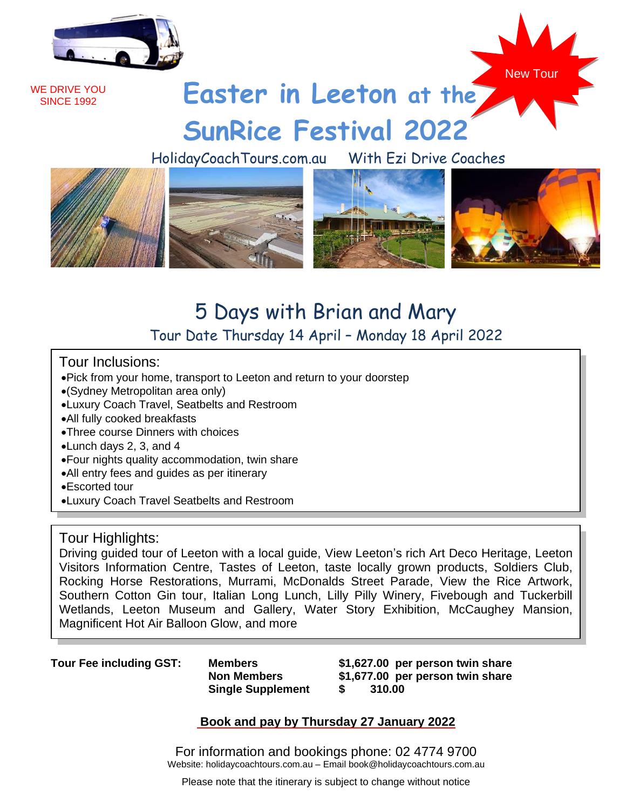

WE DRIVE YOU **SINCE 1992** 



# **Easter in Leeton at the SunRice Festival 2022**

HolidayCoachTours.com.au With Ezi Drive Coaches



## 5 Days with Brian and Mary Tour Date Thursday 14 April – Monday 18 April 2022

### Tour Inclusions:

- •Pick from your home, transport to Leeton and return to your doorstep
- •(Sydney Metropolitan area only)
- •Luxury Coach Travel, Seatbelts and Restroom
- •All fully cooked breakfasts
- •Three course Dinners with choices
- •Lunch days 2, 3, and 4
- •Four nights quality accommodation, twin share
- •All entry fees and guides as per itinerary
- •Escorted tour
- •Luxury Coach Travel Seatbelts and Restroom

#### Tour Highlights:

Driving guided tour of Leeton with a local guide, View Leeton's rich Art Deco Heritage, Leeton Visitors Information Centre, Tastes of Leeton, taste locally grown products, Soldiers Club, Rocking Horse Restorations, Murrami, McDonalds Street Parade, View the Rice Artwork, Southern Cotton Gin tour, Italian Long Lunch, Lilly Pilly Winery, Fivebough and Tuckerbill Wetlands, Leeton Museum and Gallery, Water Story Exhibition, McCaughey Mansion, Magnificent Hot Air Balloon Glow, and more

**Tour Fee including GST: Members**

**Non Members Single Supplement**

**\$1,627.00 per person twin share \$1,677.00 per person twin share \$ 310.00**

### **Book and pay by Thursday 27 January 2022**

For information and bookings phone: 02 4774 9700 Website: holidaycoachtours.com.au – Email book@holidaycoachtours.com.au

Please note that the itinerary is subject to change without notice